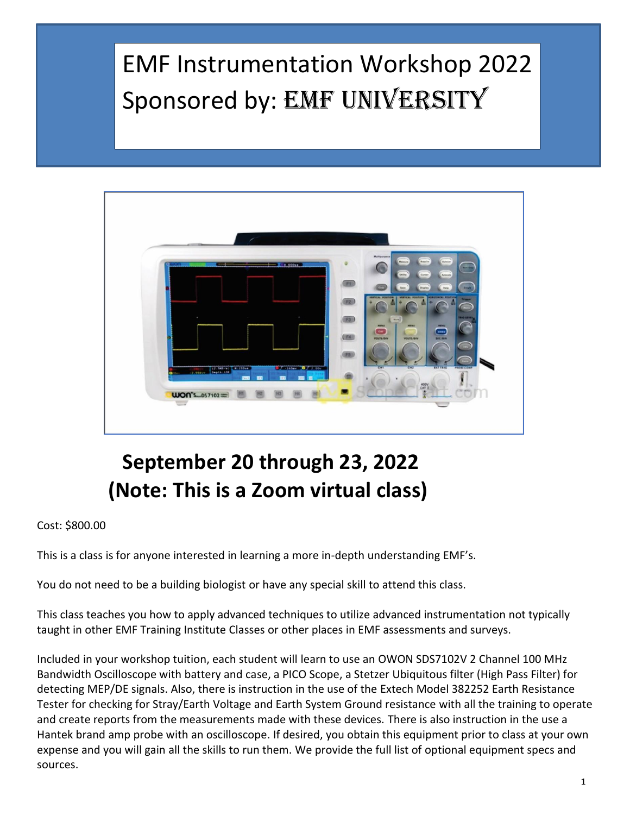# EMF Instrumentation Workshop 2022 Sponsored by: EMF UNIVERSITY



## **September 20 through 23, 2022 (Note: This is a Zoom virtual class)**

#### Cost: \$800.00

This is a class is for anyone interested in learning a more in-depth understanding EMF's.

You do not need to be a building biologist or have any special skill to attend this class.

This class teaches you how to apply advanced techniques to utilize advanced instrumentation not typically taught in other EMF Training Institute Classes or other places in EMF assessments and surveys.

Included in your workshop tuition, each student will learn to use an OWON SDS7102V 2 Channel 100 MHz Bandwidth Oscilloscope with battery and case, a PICO Scope, a Stetzer Ubiquitous filter (High Pass Filter) for detecting MEP/DE signals. Also, there is instruction in the use of the Extech Model 382252 Earth Resistance Tester for checking for Stray/Earth Voltage and Earth System Ground resistance with all the training to operate and create reports from the measurements made with these devices. There is also instruction in the use a Hantek brand amp probe with an oscilloscope. If desired, you obtain this equipment prior to class at your own expense and you will gain all the skills to run them. We provide the full list of optional equipment specs and sources.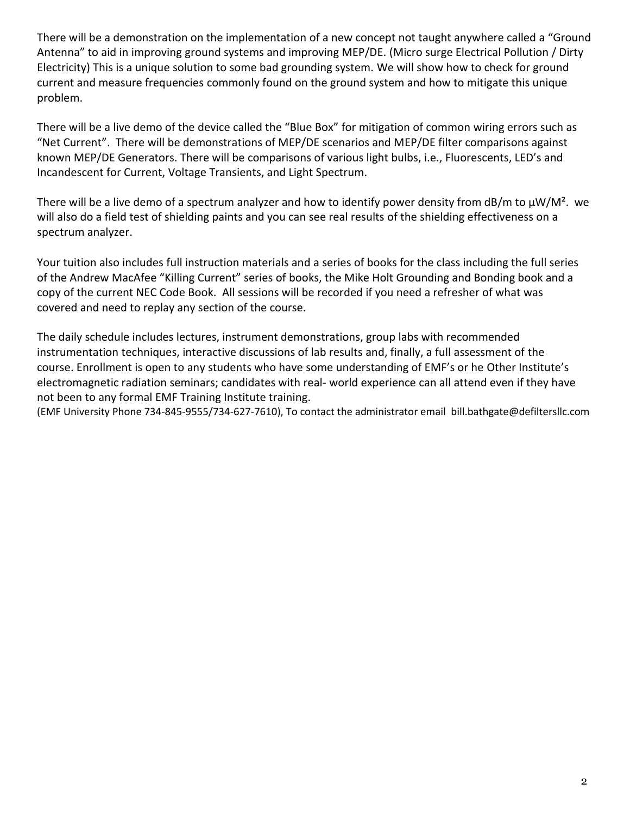There will be a demonstration on the implementation of a new concept not taught anywhere called a "Ground Antenna" to aid in improving ground systems and improving MEP/DE. (Micro surge Electrical Pollution / Dirty Electricity) This is a unique solution to some bad grounding system. We will show how to check for ground current and measure frequencies commonly found on the ground system and how to mitigate this unique problem.

There will be a live demo of the device called the "Blue Box" for mitigation of common wiring errors such as "Net Current". There will be demonstrations of MEP/DE scenarios and MEP/DE filter comparisons against known MEP/DE Generators. There will be comparisons of various light bulbs, i.e., Fluorescents, LED's and Incandescent for Current, Voltage Transients, and Light Spectrum.

There will be a live demo of a spectrum analyzer and how to identify power density from dB/m to  $\mu$ W/M<sup>2</sup>. we will also do a field test of shielding paints and you can see real results of the shielding effectiveness on a spectrum analyzer.

Your tuition also includes full instruction materials and a series of books for the class including the full series of the Andrew MacAfee "Killing Current" series of books, the Mike Holt Grounding and Bonding book and a copy of the current NEC Code Book. All sessions will be recorded if you need a refresher of what was covered and need to replay any section of the course.

The daily schedule includes lectures, instrument demonstrations, group labs with recommended instrumentation techniques, interactive discussions of lab results and, finally, a full assessment of the course. Enrollment is open to any students who have some understanding of EMF's or he Other Institute's electromagnetic radiation seminars; candidates with real- world experience can all attend even if they have not been to any formal EMF Training Institute training.

(EMF University Phone 734-845-9555/734-627-7610), To contact the administrator email bill.bathgate@defiltersllc.com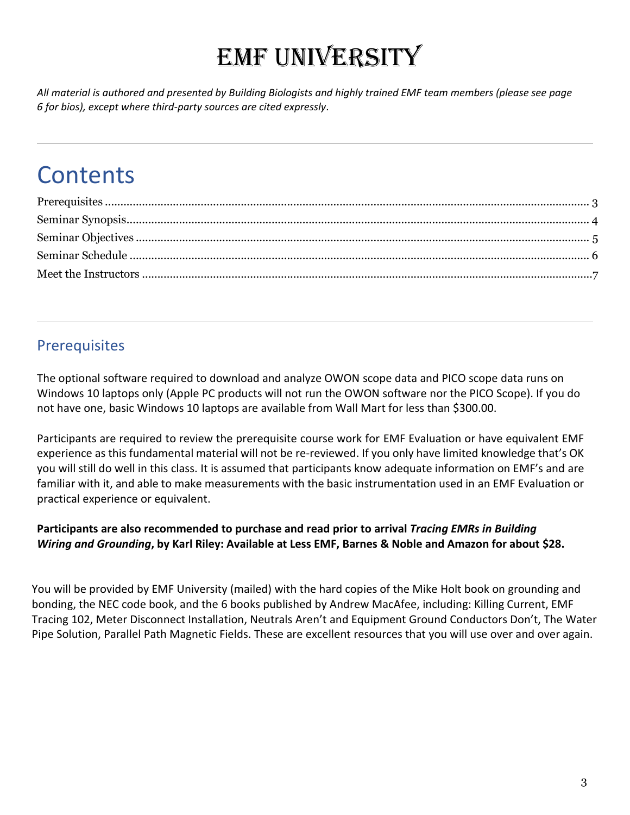# EMF University

*All material is authored and presented by Building Biologists and highly trained EMF team members (please see page 6 for bios), except where third-party sources are cited expressly*.

## **Contents**

## <span id="page-2-0"></span>**Prerequisites**

The optional software required to download and analyze OWON scope data and PICO scope data runs on Windows 10 laptops only (Apple PC products will not run the OWON software nor the PICO Scope). If you do not have one, basic Windows 10 laptops are available from Wall Mart for less than \$300.00.

Participants are required to review the prerequisite course work for EMF Evaluation or have equivalent EMF experience as this fundamental material will not be re-reviewed. If you only have limited knowledge that's OK you will still do well in this class. It is assumed that participants know adequate information on EMF's and are familiar with it, and able to make measurements with the basic instrumentation used in an EMF Evaluation or practical experience or equivalent.

#### **Participants are also recommended to purchase and read prior to arrival** *Tracing EMRs in Building Wiring and Grounding***, by Karl Riley: Available at Less EMF, Barnes & Noble and Amazon for about \$28.**

You will be provided by EMF University (mailed) with the hard copies of the Mike Holt book on grounding and bonding, the NEC code book, and the 6 books published by Andrew MacAfee, including: Killing Current, EMF Tracing 102, Meter Disconnect Installation, Neutrals Aren't and Equipment Ground Conductors Don't, The Water Pipe Solution, Parallel Path Magnetic Fields. These are excellent resources that you will use over and over again.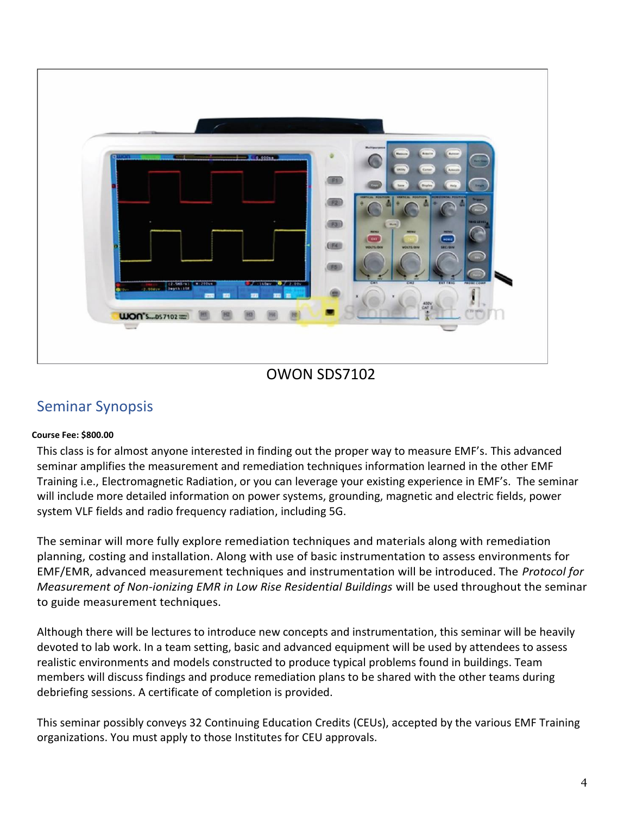

## OWON SDS7102

### <span id="page-3-0"></span>Seminar Synopsis

#### **Course Fee: \$800.00**

This class is for almost anyone interested in finding out the proper way to measure EMF's. This advanced seminar amplifies the measurement and remediation techniques information learned in the other EMF Training i.e., Electromagnetic Radiation, or you can leverage your existing experience in EMF's. The seminar will include more detailed information on power systems, grounding, magnetic and electric fields, power system VLF fields and radio frequency radiation, including 5G.

The seminar will more fully explore remediation techniques and materials along with remediation planning, costing and installation. Along with use of basic instrumentation to assess environments for EMF/EMR, advanced measurement techniques and instrumentation will be introduced. The *Protocol for Measurement of Non-ionizing EMR in Low Rise Residential Buildings* will be used throughout the seminar to guide measurement techniques.

Although there will be lectures to introduce new concepts and instrumentation, this seminar will be heavily devoted to lab work. In a team setting, basic and advanced equipment will be used by attendees to assess realistic environments and models constructed to produce typical problems found in buildings. Team members will discuss findings and produce remediation plans to be shared with the other teams during debriefing sessions. A certificate of completion is provided.

This seminar possibly conveys 32 Continuing Education Credits (CEUs), accepted by the various EMF Training organizations. You must apply to those Institutes for CEU approvals.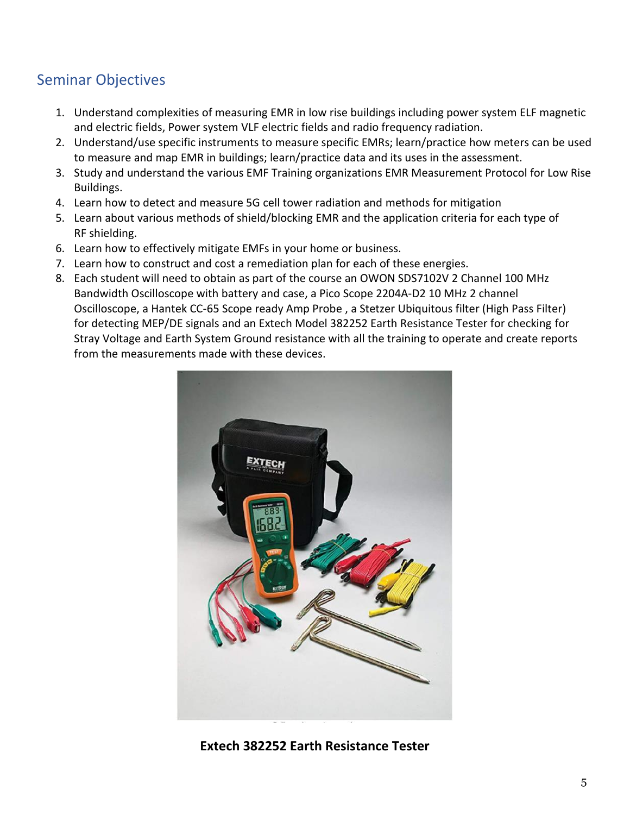## <span id="page-4-0"></span>Seminar Objectives

- 1. Understand complexities of measuring EMR in low rise buildings including power system ELF magnetic and electric fields, Power system VLF electric fields and radio frequency radiation.
- 2. Understand/use specific instruments to measure specific EMRs; learn/practice how meters can be used to measure and map EMR in buildings; learn/practice data and its uses in the assessment.
- 3. Study and understand the various EMF Training organizations EMR Measurement Protocol for Low Rise Buildings.
- 4. Learn how to detect and measure 5G cell tower radiation and methods for mitigation
- 5. Learn about various methods of shield/blocking EMR and the application criteria for each type of RF shielding.
- 6. Learn how to effectively mitigate EMFs in your home or business.
- 7. Learn how to construct and cost a remediation plan for each of these energies.
- 8. Each student will need to obtain as part of the course an OWON SDS7102V 2 Channel 100 MHz Bandwidth Oscilloscope with battery and case, a Pico Scope 2204A-D2 10 MHz 2 channel Oscilloscope, a Hantek CC-65 Scope ready Amp Probe , a Stetzer Ubiquitous filter (High Pass Filter) for detecting MEP/DE signals and an Extech Model 382252 Earth Resistance Tester for checking for Stray Voltage and Earth System Ground resistance with all the training to operate and create reports from the measurements made with these devices.



**Extech 382252 Earth Resistance Tester**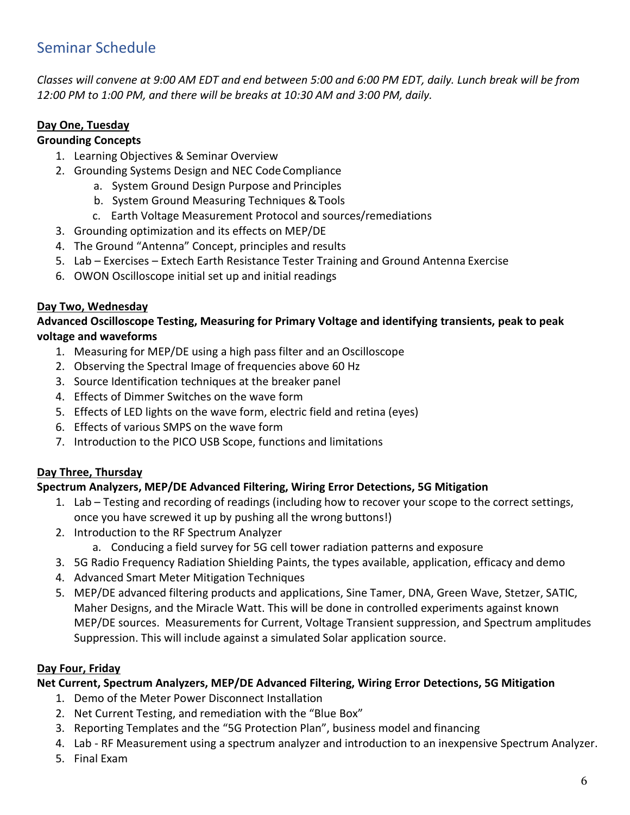## <span id="page-5-0"></span>Seminar Schedule

*Classes will convene at 9:00 AM EDT and end between 5:00 and 6:00 PM EDT, daily. Lunch break will be from 12:00 PM to 1:00 PM, and there will be breaks at 10:30 AM and 3:00 PM, daily.*

#### **Day One, Tuesday**

#### **Grounding Concepts**

- 1. Learning Objectives & Seminar Overview
- 2. Grounding Systems Design and NEC CodeCompliance
	- a. System Ground Design Purpose and Principles
	- b. System Ground Measuring Techniques &Tools
	- c. Earth Voltage Measurement Protocol and sources/remediations
- 3. Grounding optimization and its effects on MEP/DE
- 4. The Ground "Antenna" Concept, principles and results
- 5. Lab Exercises Extech Earth Resistance Tester Training and Ground Antenna Exercise
- 6. OWON Oscilloscope initial set up and initial readings

#### **Day Two, Wednesday**

**Advanced Oscilloscope Testing, Measuring for Primary Voltage and identifying transients, peak to peak voltage and waveforms**

- 1. Measuring for MEP/DE using a high pass filter and an Oscilloscope
- 2. Observing the Spectral Image of frequencies above 60 Hz
- 3. Source Identification techniques at the breaker panel
- 4. Effects of Dimmer Switches on the wave form
- 5. Effects of LED lights on the wave form, electric field and retina (eyes)
- 6. Effects of various SMPS on the wave form
- 7. Introduction to the PICO USB Scope, functions and limitations

#### **Day Three, Thursday**

#### **Spectrum Analyzers, MEP/DE Advanced Filtering, Wiring Error Detections, 5G Mitigation**

- 1. Lab Testing and recording of readings (including how to recover your scope to the correct settings, once you have screwed it up by pushing all the wrong buttons!)
- 2. Introduction to the RF Spectrum Analyzer
	- a. Conducing a field survey for 5G cell tower radiation patterns and exposure
- 3. 5G Radio Frequency Radiation Shielding Paints, the types available, application, efficacy and demo
- 4. Advanced Smart Meter Mitigation Techniques
- 5. MEP/DE advanced filtering products and applications, Sine Tamer, DNA, Green Wave, Stetzer, SATIC, Maher Designs, and the Miracle Watt. This will be done in controlled experiments against known MEP/DE sources. Measurements for Current, Voltage Transient suppression, and Spectrum amplitudes Suppression. This will include against a simulated Solar application source.

#### **Day Four, Friday**

#### **Net Current, Spectrum Analyzers, MEP/DE Advanced Filtering, Wiring Error Detections, 5G Mitigation**

- 1. Demo of the Meter Power Disconnect Installation
- 2. Net Current Testing, and remediation with the "Blue Box"
- 3. Reporting Templates and the "5G Protection Plan", business model and financing
- 4. Lab RF Measurement using a spectrum analyzer and introduction to an inexpensive Spectrum Analyzer.
- 5. Final Exam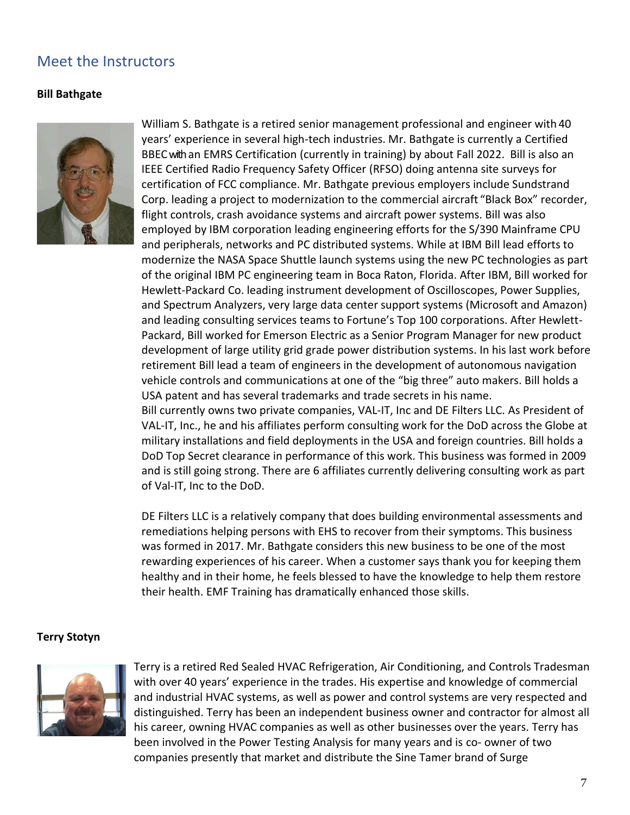### <span id="page-6-0"></span>Meet the Instructors

#### **Bill Bathgate**



William S. Bathgate is a retired senior management professional and engineer with 40 years' experience in several high-tech industries. Mr. Bathgate is currently a Certified BBECwithan EMRS Certification (currently in training) by about Fall 2022. Bill is also an IEEE Certified Radio Frequency Safety Officer (RFSO) doing antenna site surveys for certification of FCC compliance. Mr. Bathgate previous employers include Sundstrand Corp. leading a project to modernization to the commercial aircraft "Black Box" recorder, flight controls, crash avoidance systems and aircraft power systems. Bill was also employed by IBM corporation leading engineering efforts for the S/390 Mainframe CPU and peripherals, networks and PC distributed systems. While at IBM Bill lead efforts to modernize the NASA Space Shuttle launch systems using the new PC technologies as part of the original IBM PC engineering team in Boca Raton, Florida. After IBM, Bill worked for Hewlett-Packard Co. leading instrument development of Oscilloscopes, Power Supplies, and Spectrum Analyzers, very large data center support systems (Microsoft and Amazon) and leading consulting services teams to Fortune's Top 100 corporations. After Hewlett-Packard, Bill worked for Emerson Electric as a Senior Program Manager for new product development of large utility grid grade power distribution systems. In his last work before retirement Bill lead a team of engineers in the development of autonomous navigation vehicle controls and communications at one of the "big three" auto makers. Bill holds a USA patent and has several trademarks and trade secrets in his name. Bill currently owns two private companies, VAL-IT, Inc and DE Filters LLC. As President of VAL-IT, Inc., he and his affiliates perform consulting work for the DoD across the Globe at military installations and field deployments in the USA and foreign countries. Bill holds a

DoD Top Secret clearance in performance of this work. This business was formed in 2009 and is still going strong. There are 6 affiliates currently delivering consulting work as part of Val-IT, Inc to the DoD.

DE Filters LLC is a relatively company that does building environmental assessments and remediations helping persons with EHS to recover from their symptoms. This business was formed in 2017. Mr. Bathgate considers this new business to be one of the most rewarding experiences of his career. When a customer says thank you for keeping them healthy and in their home, he feels blessed to have the knowledge to help them restore their health. EMF Training has dramatically enhanced those skills.

#### **Terry Stotyn**



Terry is a retired Red Sealed HVAC Refrigeration, Air Conditioning, and Controls Tradesman with over 40 years' experience in the trades. His expertise and knowledge of commercial and industrial HVAC systems, as well as power and control systems are very respected and distinguished. Terry has been an independent business owner and contractor for almost all his career, owning HVAC companies as well as other businesses over the years. Terry has been involved in the Power Testing Analysis for many years and is co- owner of two companies presently that market and distribute the Sine Tamer brand of Surge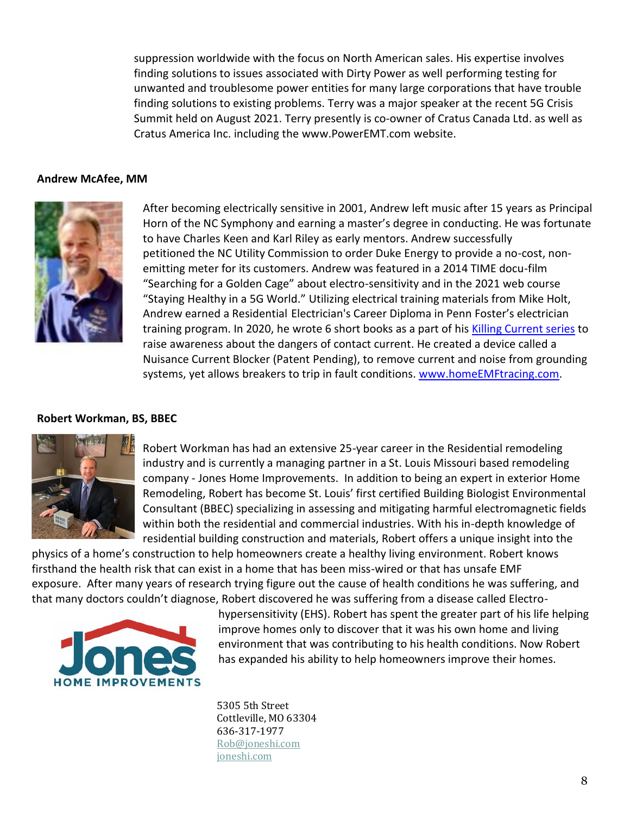suppression worldwide with the focus on North American sales. His expertise involves finding solutions to issues associated with Dirty Power as well performing testing for unwanted and troublesome power entities for many large corporations that have trouble finding solutions to existing problems. Terry was a major speaker at the recent 5G Crisis Summit held on August 2021. Terry presently is co-owner of Cratus Canada Ltd. as well as Cratus America Inc. including the [www.PowerEMT.com w](http://www.poweremt.com/)ebsite.

#### **Andrew McAfee, MM**



After becoming electrically sensitive in 2001, Andrew left music after 15 years as Principal Horn of the NC Symphony and earning a master's degree in conducting. He was fortunate to have Charles Keen and Karl Riley as early mentors. Andrew successfully petitioned the NC Utility Commission to order Duke Energy to provide a no-cost, nonemitting meter for its customers. Andrew was featured in a 2014 TIME docu-film "Searching for a Golden Cage" about electro-sensitivity and in the 2021 web course "Staying Healthy in a 5G World." Utilizing electrical training materials from Mike Holt, Andrew earned a Residential Electrician's Career Diploma in Penn Foster's electrician training program. In 2020, he wrote 6 short books as a part of his [Killing Current series](https://homeemftracing.com/shop/ols/categories/killing-current-series) to raise awareness about the dangers of contact current. He created a device called a Nuisance Current Blocker (Patent Pending), to remove current and noise from grounding systems, yet allows breakers to trip in fault conditions. [www.homeEMFtracing.com.](http://www.homeemftracing.com/)

#### **Robert Workman, BS, BBEC**



Robert Workman has had an extensive 25-year career in the Residential remodeling industry and is currently a managing partner in a St. Louis Missouri based remodeling company - Jones Home Improvements. In addition to being an expert in exterior Home Remodeling, Robert has become St. Louis' first certified Building Biologist Environmental Consultant (BBEC) specializing in assessing and mitigating harmful electromagnetic fields within both the residential and commercial industries. With his in-depth knowledge of residential building construction and materials, Robert offers a unique insight into the

physics of a home's construction to help homeowners create a healthy living environment. Robert knows firsthand the health risk that can exist in a home that has been miss-wired or that has unsafe EMF exposure. After many years of research trying figure out the cause of health conditions he was suffering, and that many doctors couldn't diagnose, Robert discovered he was suffering from a disease called Electro-



hypersensitivity (EHS). Robert has spent the greater part of his life helping improve homes only to discover that it was his own home and living environment that was contributing to his health conditions. Now Robert has expanded his ability to help homeowners improve their homes.

5305 5th Street Cottleville, MO 63304 636-317-1977 [Rob@joneshi.com](mailto:Rob@joneshi.com) [joneshi.com](http://www.joneshi.com/)